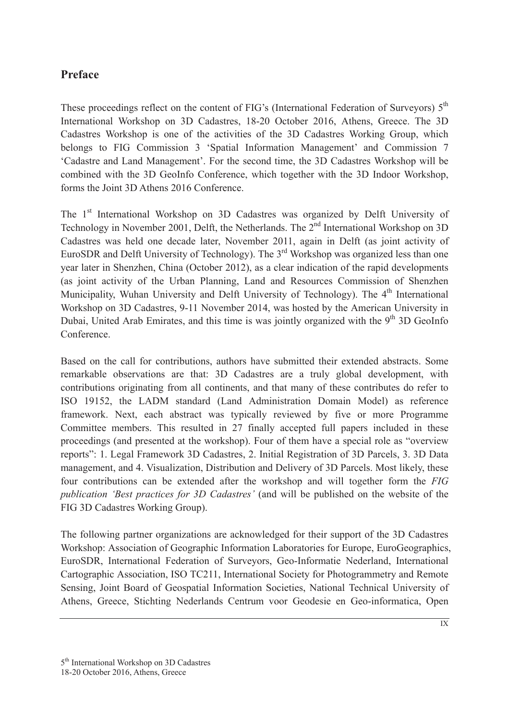## **Preface**

These proceedings reflect on the content of FIG's (International Federation of Surveyors)  $5<sup>th</sup>$ International Workshop on 3D Cadastres, 18-20 October 2016, Athens, Greece. The 3D Cadastres Workshop is one of the activities of the 3D Cadastres Working Group, which belongs to FIG Commission 3 'Spatial Information Management' and Commission 7 'Cadastre and Land Management'. For the second time, the 3D Cadastres Workshop will be combined with the 3D GeoInfo Conference, which together with the 3D Indoor Workshop, forms the Joint 3D Athens 2016 Conference.

The 1<sup>st</sup> International Workshop on 3D Cadastres was organized by Delft University of Technology in November 2001, Delft, the Netherlands. The 2<sup>nd</sup> International Workshop on 3D Cadastres was held one decade later, November 2011, again in Delft (as joint activity of EuroSDR and Delft University of Technology). The 3rd Workshop was organized less than one year later in Shenzhen, China (October 2012), as a clear indication of the rapid developments (as joint activity of the Urban Planning, Land and Resources Commission of Shenzhen Municipality, Wuhan University and Delft University of Technology). The 4<sup>th</sup> International Workshop on 3D Cadastres, 9-11 November 2014, was hosted by the American University in Dubai, United Arab Emirates, and this time is was jointly organized with the  $9<sup>th</sup>$  3D GeoInfo **Conference** 

Based on the call for contributions, authors have submitted their extended abstracts. Some remarkable observations are that: 3D Cadastres are a truly global development, with contributions originating from all continents, and that many of these contributes do refer to ISO 19152, the LADM standard (Land Administration Domain Model) as reference framework. Next, each abstract was typically reviewed by five or more Programme Committee members. This resulted in 27 finally accepted full papers included in these proceedings (and presented at the workshop). Four of them have a special role as "overview reports": 1. Legal Framework 3D Cadastres, 2. Initial Registration of 3D Parcels, 3. 3D Data management, and 4. Visualization, Distribution and Delivery of 3D Parcels. Most likely, these four contributions can be extended after the workshop and will together form the *FIG publication 'Best practices for 3D Cadastres'* (and will be published on the website of the FIG 3D Cadastres Working Group).

The following partner organizations are acknowledged for their support of the 3D Cadastres Workshop: Association of Geographic Information Laboratories for Europe, EuroGeographics, EuroSDR, International Federation of Surveyors, Geo-Informatie Nederland, International Cartographic Association, ISO TC211, International Society for Photogrammetry and Remote Sensing, Joint Board of Geospatial Information Societies, National Technical University of Athens, Greece, Stichting Nederlands Centrum voor Geodesie en Geo-informatica, Open